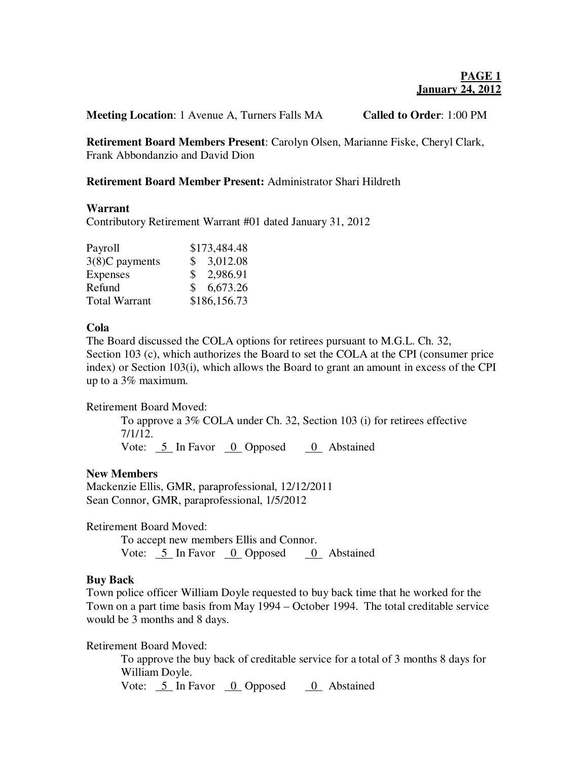**Meeting Location**: 1 Avenue A, Turners Falls MA **Called to Order**: 1:00 PM

**Retirement Board Members Present**: Carolyn Olsen, Marianne Fiske, Cheryl Clark, Frank Abbondanzio and David Dion

## **Retirement Board Member Present:** Administrator Shari Hildreth

#### **Warrant**

Contributory Retirement Warrant #01 dated January 31, 2012

| Payroll              | \$173,484.48   |
|----------------------|----------------|
| 3(8)C payments       | \$3,012.08     |
| Expenses             | \$2,986.91     |
| Refund               | 6,673.26<br>S. |
| <b>Total Warrant</b> | \$186,156.73   |

# **Cola**

The Board discussed the COLA options for retirees pursuant to M.G.L. Ch. 32, Section 103 (c), which authorizes the Board to set the COLA at the CPI (consumer price index) or Section 103(i), which allows the Board to grant an amount in excess of the CPI up to a 3% maximum.

## Retirement Board Moved:

To approve a 3% COLA under Ch. 32, Section 103 (i) for retirees effective 7/1/12.

Vote:  $\frac{5}{2}$  In Favor  $\frac{0}{2}$  Opposed  $\frac{0}{2}$  Abstained

## **New Members**

Mackenzie Ellis, GMR, paraprofessional, 12/12/2011 Sean Connor, GMR, paraprofessional, 1/5/2012

Retirement Board Moved:

 To accept new members Ellis and Connor. Vote:  $\frac{5}{5}$  In Favor  $\frac{0}{5}$  Opposed  $\frac{0}{5}$  Abstained

## **Buy Back**

Town police officer William Doyle requested to buy back time that he worked for the Town on a part time basis from May 1994 – October 1994. The total creditable service would be 3 months and 8 days.

Retirement Board Moved:

To approve the buy back of creditable service for a total of 3 months 8 days for William Doyle.

Vote:  $\frac{5}{5}$  In Favor  $\frac{0}{5}$  Opposed  $\frac{0}{5}$  Abstained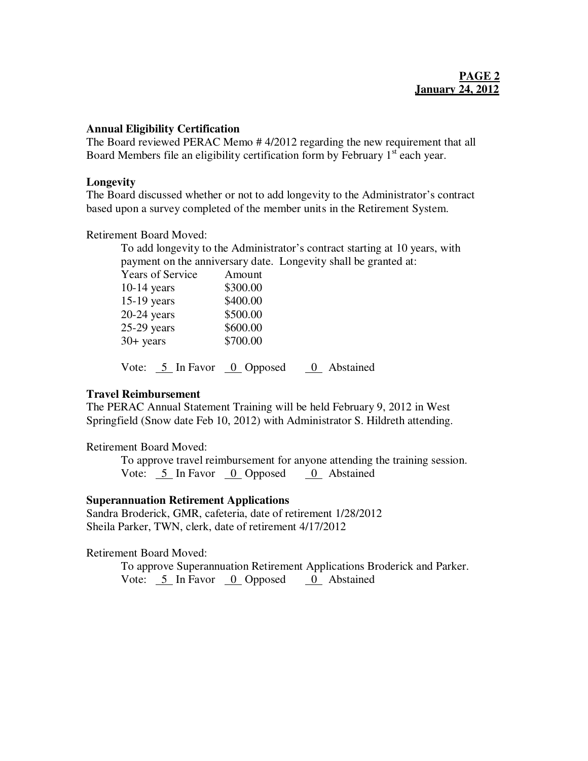#### **Annual Eligibility Certification**

The Board reviewed PERAC Memo # 4/2012 regarding the new requirement that all Board Members file an eligibility certification form by February  $1<sup>st</sup>$  each year.

#### **Longevity**

The Board discussed whether or not to add longevity to the Administrator's contract based upon a survey completed of the member units in the Retirement System.

Retirement Board Moved:

To add longevity to the Administrator's contract starting at 10 years, with payment on the anniversary date. Longevity shall be granted at:

| <b>Years of Service</b>    | Amount   |           |
|----------------------------|----------|-----------|
| $10-14$ years              | \$300.00 |           |
| $15-19$ years              | \$400.00 |           |
| $20-24$ years              | \$500.00 |           |
| $25-29$ years              | \$600.00 |           |
| $30+$ years                | \$700.00 |           |
| Vote: 5 In Favor 0 Opposed |          | Abstained |

## **Travel Reimbursement**

The PERAC Annual Statement Training will be held February 9, 2012 in West Springfield (Snow date Feb 10, 2012) with Administrator S. Hildreth attending.

## Retirement Board Moved:

 To approve travel reimbursement for anyone attending the training session. Vote: 5 In Favor 0 Opposed 0 Abstained

## **Superannuation Retirement Applications**

Sandra Broderick, GMR, cafeteria, date of retirement 1/28/2012 Sheila Parker, TWN, clerk, date of retirement 4/17/2012

## Retirement Board Moved:

To approve Superannuation Retirement Applications Broderick and Parker. Vote: 5 In Favor 0 Opposed 0 Abstained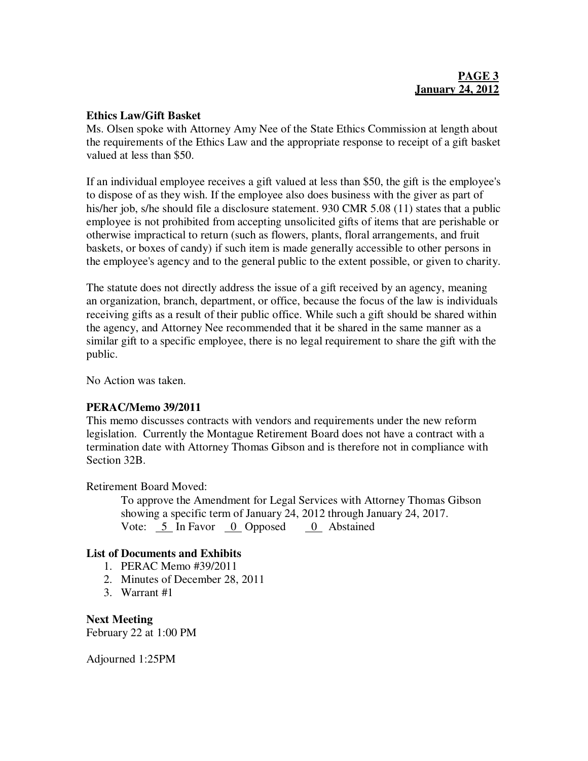#### **Ethics Law/Gift Basket**

Ms. Olsen spoke with Attorney Amy Nee of the State Ethics Commission at length about the requirements of the Ethics Law and the appropriate response to receipt of a gift basket valued at less than \$50.

If an individual employee receives a gift valued at less than \$50, the gift is the employee's to dispose of as they wish. If the employee also does business with the giver as part of his/her job, s/he should file a disclosure statement. 930 CMR 5.08 (11) states that a public employee is not prohibited from accepting unsolicited gifts of items that are perishable or otherwise impractical to return (such as flowers, plants, floral arrangements, and fruit baskets, or boxes of candy) if such item is made generally accessible to other persons in the employee's agency and to the general public to the extent possible, or given to charity.

The statute does not directly address the issue of a gift received by an agency, meaning an organization, branch, department, or office, because the focus of the law is individuals receiving gifts as a result of their public office. While such a gift should be shared within the agency, and Attorney Nee recommended that it be shared in the same manner as a similar gift to a specific employee, there is no legal requirement to share the gift with the public.

No Action was taken.

## **PERAC/Memo 39/2011**

This memo discusses contracts with vendors and requirements under the new reform legislation. Currently the Montague Retirement Board does not have a contract with a termination date with Attorney Thomas Gibson and is therefore not in compliance with Section 32B.

## Retirement Board Moved:

To approve the Amendment for Legal Services with Attorney Thomas Gibson showing a specific term of January 24, 2012 through January 24, 2017. Vote: 5 In Favor 0 Opposed 0 Abstained

## **List of Documents and Exhibits**

- 1. PERAC Memo #39/2011
- 2. Minutes of December 28, 2011
- 3. Warrant #1

**Next Meeting** February 22 at 1:00 PM

Adjourned 1:25PM